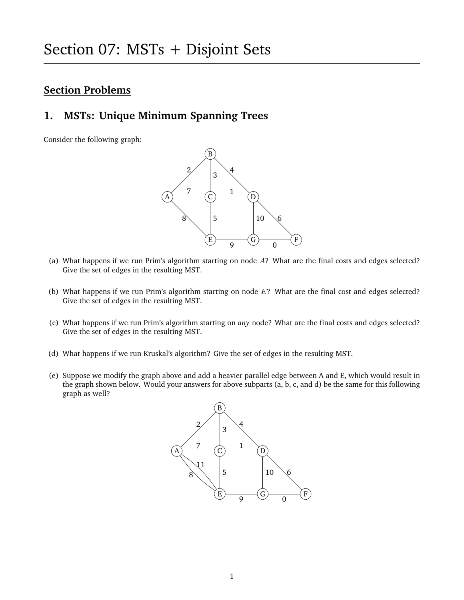## **Section Problems**

### **1. MSTs: Unique Minimum Spanning Trees**

Consider the following graph:



- (a) What happens if we run Prim's algorithm starting on node A? What are the final costs and edges selected? Give the set of edges in the resulting MST.
- (b) What happens if we run Prim's algorithm starting on node E? What are the final cost and edges selected? Give the set of edges in the resulting MST.
- (c) What happens if we run Prim's algorithm starting on *any* node? What are the final costs and edges selected? Give the set of edges in the resulting MST.
- (d) What happens if we run Kruskal's algorithm? Give the set of edges in the resulting MST.
- (e) Suppose we modify the graph above and add a heavier parallel edge between A and E, which would result in the graph shown below. Would your answers for above subparts (a, b, c, and d) be the same for this following graph as well?

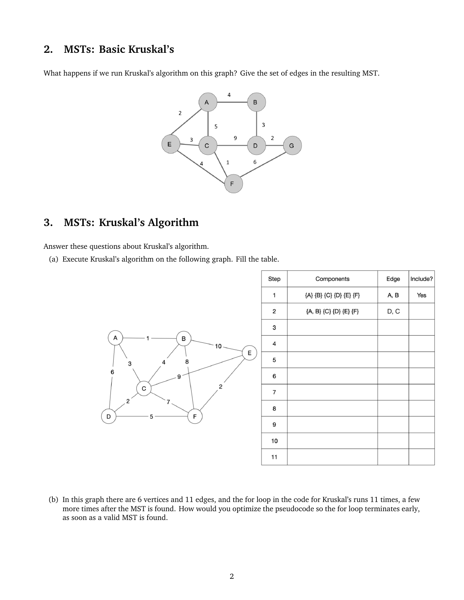#### **2. MSTs: Basic Kruskal's**

What happens if we run Kruskal's algorithm on this graph? Give the set of edges in the resulting MST.



# **3. MSTs: Kruskal's Algorithm**

Answer these questions about Kruskal's algorithm.

(a) Execute Kruskal's algorithm on the following graph. Fill the table.



(b) In this graph there are 6 vertices and 11 edges, and the for loop in the code for Kruskal's runs 11 times, a few more times after the MST is found. How would you optimize the pseudocode so the for loop terminates early, as soon as a valid MST is found.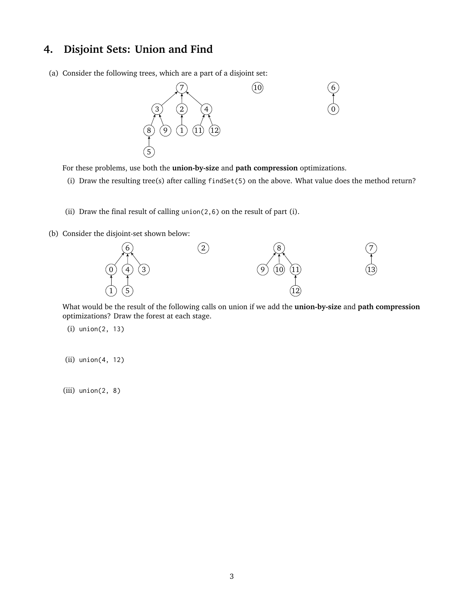## **4. Disjoint Sets: Union and Find**

(a) Consider the following trees, which are a part of a disjoint set:



For these problems, use both the **union-by-size** and **path compression** optimizations.

- (i) Draw the resulting tree(s) after calling findSet(5) on the above. What value does the method return?
- (ii) Draw the final result of calling union( $2,6$ ) on the result of part (i).
- (b) Consider the disjoint-set shown below:



What would be the result of the following calls on union if we add the **union-by-size** and **path compression** optimizations? Draw the forest at each stage.

(i) union(2, 13)

(ii) union(4, 12)

(iii) union(2, 8)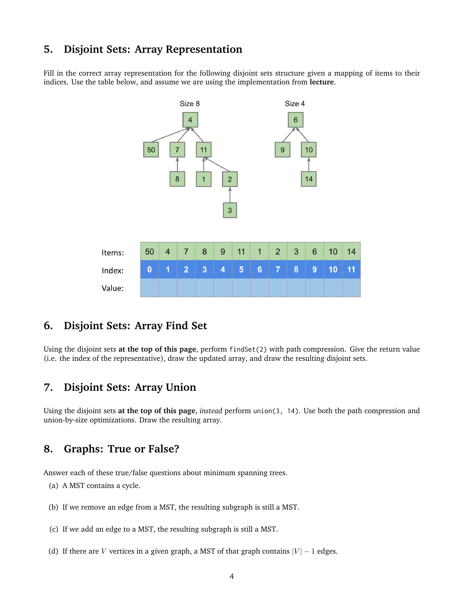#### **5. Disjoint Sets: Array Representation**

Fill in the correct array representation for the following disjoint sets structure given a mapping of items to their indices. Use the table below, and assume we are using the implementation from **lecture**.



## **6. Disjoint Sets: Array Find Set**

Using the disjoint sets **at the top of this page**, perform findSet(2) with path compression. Give the return value (i.e. the index of the representative), draw the updated array, and draw the resulting disjoint sets.

#### **7. Disjoint Sets: Array Union**

Using the disjoint sets **at the top of this page**, *instead* perform union(3, 14). Use both the path compression and union-by-size optimizations. Draw the resulting array.

## **8. Graphs: True or False?**

Answer each of these true/false questions about minimum spanning trees.

- (a) A MST contains a cycle.
- (b) If we remove an edge from a MST, the resulting subgraph is still a MST.
- (c) If we add an edge to a MST, the resulting subgraph is still a MST.
- (d) If there are *V* vertices in a given graph, a MST of that graph contains  $|V| 1$  edges.